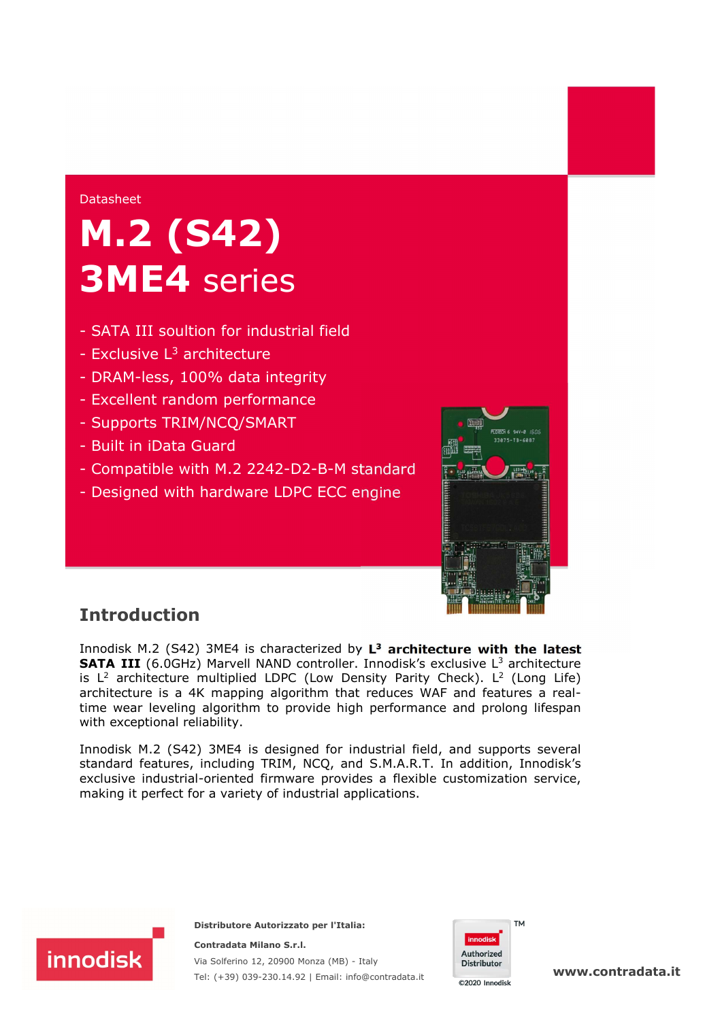#### Datasheet

# M.2 (S42) 3ME4 series

- SATA III soultion for industrial field
- $-$  Exclusive  $L^3$  architecture
- DRAM-less, 100% data integrity
- Excellent random performance
- Supports TRIM/NCQ/SMART
- Built in iData Guard
- Compatible with M.2 2242-D2-B-M standard
- Designed with hardware LDPC ECC engine



## Introduction

Innodisk M.2 (S42) 3ME4 is characterized by  $L^3$  architecture with the latest **SATA III** (6.0GHz) Marvell NAND controller. Innodisk's exclusive  $L<sup>3</sup>$  architecture is  $L^2$  architecture multiplied LDPC (Low Density Parity Check). L<sup>2</sup> (Long Life) architecture is a 4K mapping algorithm that reduces WAF and features a realtime wear leveling algorithm to provide high performance and prolong lifespan with exceptional reliability.

Innodisk M.2 (S42) 3ME4 is designed for industrial field, and supports several standard features, including TRIM, NCQ, and S.M.A.R.T. In addition, Innodisk's exclusive industrial-oriented firmware provides a flexible customization service, making it perfect for a variety of industrial applications.



**Distributore Autorizzato per l'Italia:** 

**Contradata Milano S.r.l.** Via Solferino 12, 20900 Monza (MB) - Italy Tel: (+39) 039-230.14.92 | Email: [info@contradata.it](mailto:info@contradata.it)